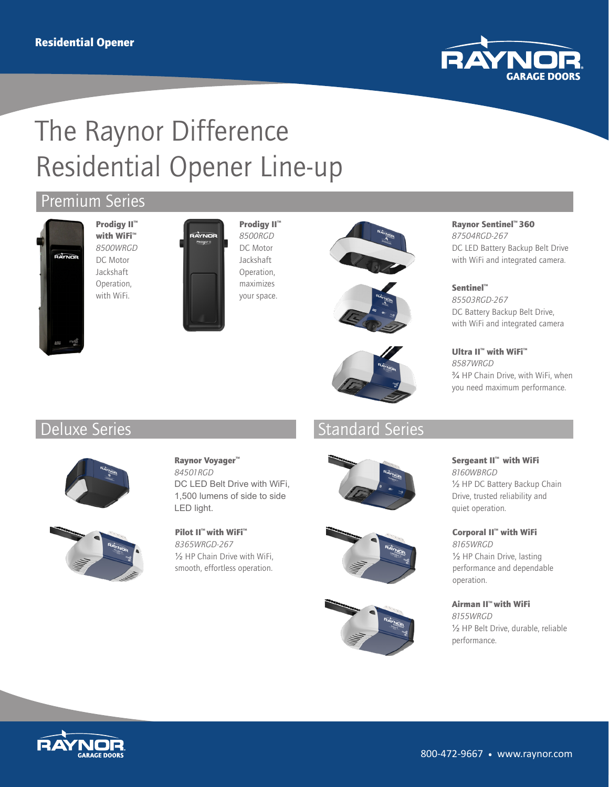

# The Raynor Difference Residential Opener Line-up

# Premium Series



Prodigy II<sup>™</sup> with WiFi<sup>™</sup> *8500WRGD* DC Motor Jackshaft Operation, with WiFi.



Prodigy II<sup>™</sup> *8500RGD* DC Motor Jackshaft Operation, maximizes your space.





#### Raynor Sentinel™ 360 *87504RGD-267* DC LED Battery Backup Belt Drive with WiFi and integrated camera.

Sentinel™ *85503RGD-267* DC Battery Backup Belt Drive, with WiFi and integrated camera

Ultra II™ with WiFi™ *8587WRGD* ¾ HP Chain Drive, with WiFi, when you need maximum performance.

# Deluxe Series Standard Series Standard Series





## Raynor Voyager™ *84501RGD* DC LED Belt Drive with WiFi, 1,500 lumens of side to side LED light.

Pilot II<sup>™</sup> with WiFi<sup>™</sup> *8365WRGD-267* ½ HP Chain Drive with WiFi, smooth, effortless operation.







Sergeant II™ with WiFi *8160WBRGD* ½ HP DC Battery Backup Chain Drive, trusted reliability and quiet operation.

Corporal II™ with WiFi *8165WRGD* ½ HP Chain Drive, lasting performance and dependable operation.

Airman II™ with WiFi *8155WRGD* ½ HP Belt Drive, durable, reliable performance.